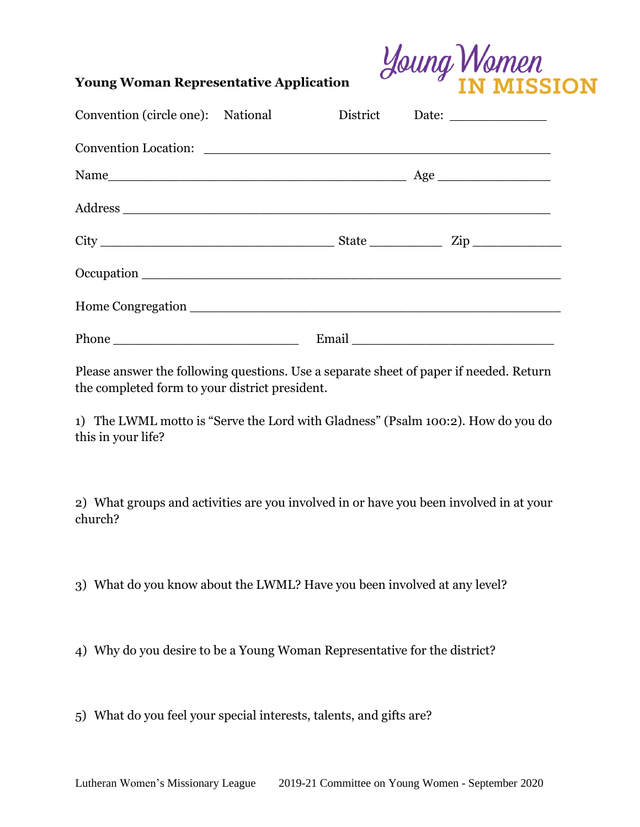

## **Young Woman Representative Application**

| Convention (circle one): National |  |                                                                                                                                                                                                                                |
|-----------------------------------|--|--------------------------------------------------------------------------------------------------------------------------------------------------------------------------------------------------------------------------------|
|                                   |  |                                                                                                                                                                                                                                |
|                                   |  |                                                                                                                                                                                                                                |
|                                   |  |                                                                                                                                                                                                                                |
|                                   |  |                                                                                                                                                                                                                                |
|                                   |  |                                                                                                                                                                                                                                |
|                                   |  |                                                                                                                                                                                                                                |
|                                   |  | Email experience and the second service of the service of the service of the service of the service of the service of the service of the service of the service of the service of the service of the service of the service of |

Please answer the following questions. Use a separate sheet of paper if needed. Return the completed form to your district president.

1) The LWML motto is "Serve the Lord with Gladness" (Psalm 100:2). How do you do this in your life?

2) What groups and activities are you involved in or have you been involved in at your church?

3) What do you know about the LWML? Have you been involved at any level?

4) Why do you desire to be a Young Woman Representative for the district?

5) What do you feel your special interests, talents, and gifts are?